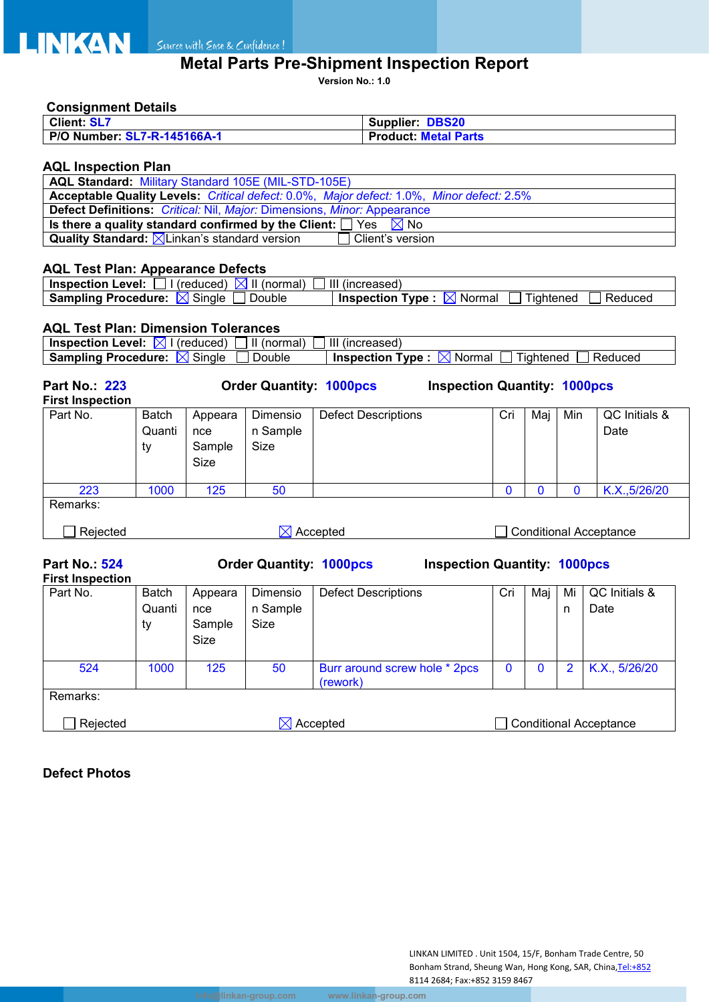

# **Metal Parts Pre-Shipment Inspection Report**

**Version No.: 1.0**

# **Consignment Details**

| <b>Client: SL7</b>          | <b>Supplier: DBS20</b>      |
|-----------------------------|-----------------------------|
| P/O Number: SL7-R-145166A-1 | <b>Product: Metal Parts</b> |

## **AQL Inspection Plan**

| <b>AQL Standard: Military Standard 105E (MIL-STD-105E)</b>                               |  |  |  |  |  |
|------------------------------------------------------------------------------------------|--|--|--|--|--|
| Acceptable Quality Levels: Critical defect: 0.0%, Major defect: 1.0%, Minor defect: 2.5% |  |  |  |  |  |
| <b>Defect Definitions:</b> Critical: Nil, Major: Dimensions, Minor: Appearance           |  |  |  |  |  |
| Is there a quality standard confirmed by the Client: $\Box$ Yes $\boxtimes$ No           |  |  |  |  |  |
| <b>Quality Standard:</b> $\boxtimes$ Linkan's standard version<br>  Client's version_    |  |  |  |  |  |

## **AQL Test Plan: Appearance Defects**

| <b>Inspection Level:</b><br>(normal)<br>IXLIL<br>(reduced) | Ш<br>lncreased)                                              |
|------------------------------------------------------------|--------------------------------------------------------------|
| Single<br><b>Sampling Procedure:</b><br>Double<br>ΙX       | Reduced<br><b>Inspection</b><br>Tvpe<br>Normal<br>l iahtened |

### **AQL Test Plan: Dimension Tolerances**

| <b>Inspection Level:</b> $\boxtimes$                                                                                          |              | (reduced)   | II (normal)                    | III (increased)            |                                     |     |     |          |                               |  |
|-------------------------------------------------------------------------------------------------------------------------------|--------------|-------------|--------------------------------|----------------------------|-------------------------------------|-----|-----|----------|-------------------------------|--|
| <b>Sampling Procedure:</b> $\boxtimes$ Single<br>Double<br><b>Inspection Type:</b> $\boxtimes$ Normal<br>Tightened<br>Reduced |              |             |                                |                            |                                     |     |     |          |                               |  |
| <b>Part No.: 223</b><br><b>First Inspection</b>                                                                               |              |             | <b>Order Quantity: 1000pcs</b> |                            | <b>Inspection Quantity: 1000pcs</b> |     |     |          |                               |  |
| Part No.                                                                                                                      | <b>Batch</b> | Appeara     | Dimensio                       | <b>Defect Descriptions</b> |                                     | Cri | Maj | Min      | QC Initials &                 |  |
|                                                                                                                               | Quanti       | nce         | n Sample                       |                            |                                     |     |     |          | Date                          |  |
|                                                                                                                               | ty           | Sample      | Size                           |                            |                                     |     |     |          |                               |  |
|                                                                                                                               |              | <b>Size</b> |                                |                            |                                     |     |     |          |                               |  |
| 223                                                                                                                           | 1000         | 125         | 50                             |                            |                                     | Ü   | O   | $\Omega$ | K.X., 5/26/20                 |  |
| Remarks:                                                                                                                      |              |             |                                |                            |                                     |     |     |          |                               |  |
| Rejected                                                                                                                      |              |             |                                | Accepted                   |                                     |     |     |          | <b>Conditional Acceptance</b> |  |

**Part No.: 524 Order Quantity: 1000pcs Inspection Quantity: 1000pcs**

| <b>First Inspection</b> |              |         |          |                                           |          |     |    |                        |
|-------------------------|--------------|---------|----------|-------------------------------------------|----------|-----|----|------------------------|
| Part No.                | <b>Batch</b> | Appeara | Dimensio | <b>Defect Descriptions</b>                | Cri      | Maj | Mi | QC Initials &          |
|                         | Quanti       | nce     | n Sample |                                           |          |     | n  | Date                   |
|                         | ty           | Sample  | Size     |                                           |          |     |    |                        |
|                         |              | Size    |          |                                           |          |     |    |                        |
| 524                     | 1000         | 125     | 50       | Burr around screw hole * 2pcs<br>(rework) | $\bf{0}$ | 0   | 2  | K.X., 5/26/20          |
| Remarks:                |              |         |          |                                           |          |     |    |                        |
| Rejected                | Accepted     |         |          |                                           |          |     |    | Conditional Acceptance |

# **Defect Photos**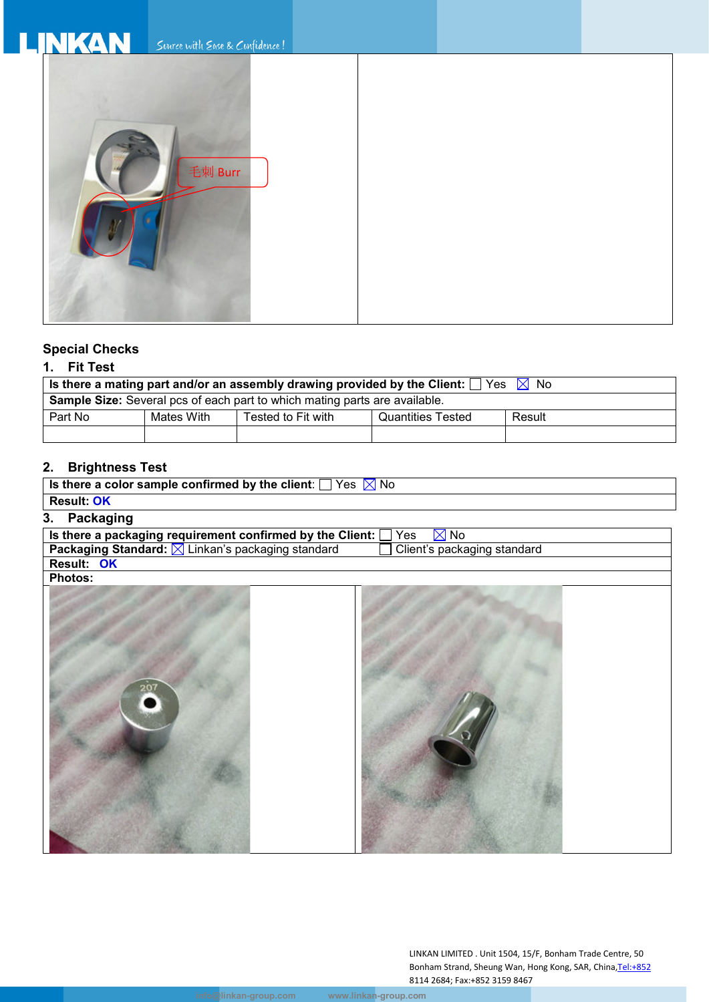# Suice with Ease & Confidence!



# **Special Checks**

# **1. Fit Test**

| Is there a mating part and/or an assembly drawing provided by the Client: $\Box$ Yes $\Box$ No |            |                    |                   |        |  |  |  |  |  |
|------------------------------------------------------------------------------------------------|------------|--------------------|-------------------|--------|--|--|--|--|--|
| <b>Sample Size:</b> Several pcs of each part to which mating parts are available.              |            |                    |                   |        |  |  |  |  |  |
| Part No                                                                                        | Mates With | Tested to Fit with | Quantities Tested | Result |  |  |  |  |  |
|                                                                                                |            |                    |                   |        |  |  |  |  |  |

# **2. Brightness Test**

| Is there a color sample confirmed by the client: $\Box$ Yes $\boxtimes$ No |                             |
|----------------------------------------------------------------------------|-----------------------------|
| <b>Result: OK</b>                                                          |                             |
| <b>Packaging</b><br>3.                                                     |                             |
| Is there a packaging requirement confirmed by the Client:                  | Yes<br>$\boxtimes$ No       |
| Packaging Standard: X Linkan's packaging standard                          | Client's packaging standard |
| Result: OK                                                                 |                             |
| <b>Photos:</b>                                                             |                             |
|                                                                            |                             |
|                                                                            |                             |
|                                                                            |                             |
|                                                                            |                             |
|                                                                            |                             |
|                                                                            |                             |
| 20                                                                         |                             |
|                                                                            |                             |
|                                                                            |                             |
|                                                                            |                             |
|                                                                            |                             |
|                                                                            |                             |
|                                                                            |                             |
|                                                                            |                             |
|                                                                            |                             |
|                                                                            |                             |
|                                                                            |                             |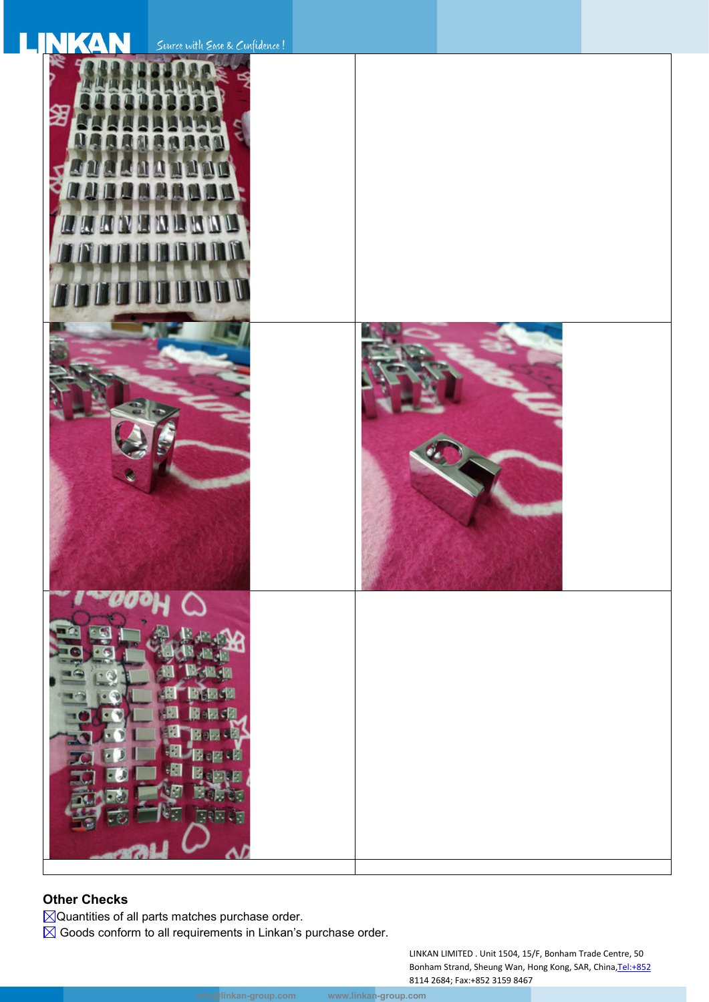| Source with Ease & Confidence!                                      |  |
|---------------------------------------------------------------------|--|
| å<br>≵<br><b>WANHARAR</b><br>W<br>n<br><b>ITUUT</b><br>U<br>T<br>vп |  |
|                                                                     |  |
| 閪<br>最明<br>H.<br>$\mathbf{B}$<br>b.<br>咽<br>SK.<br>同日               |  |

# **Other Checks**

Quantities of all parts matches purchase order.

 $\boxtimes$  Goods conform to all requirements in Linkan's purchase order.

LINKAN LIMITED . Unit 1504, 15/F, Bonham Trade Centre, 50 Bonham Strand, Sheung Wan, Hong Kong, SAR, China, Tel:+852 8114 2684; Fax:+852 3159 8467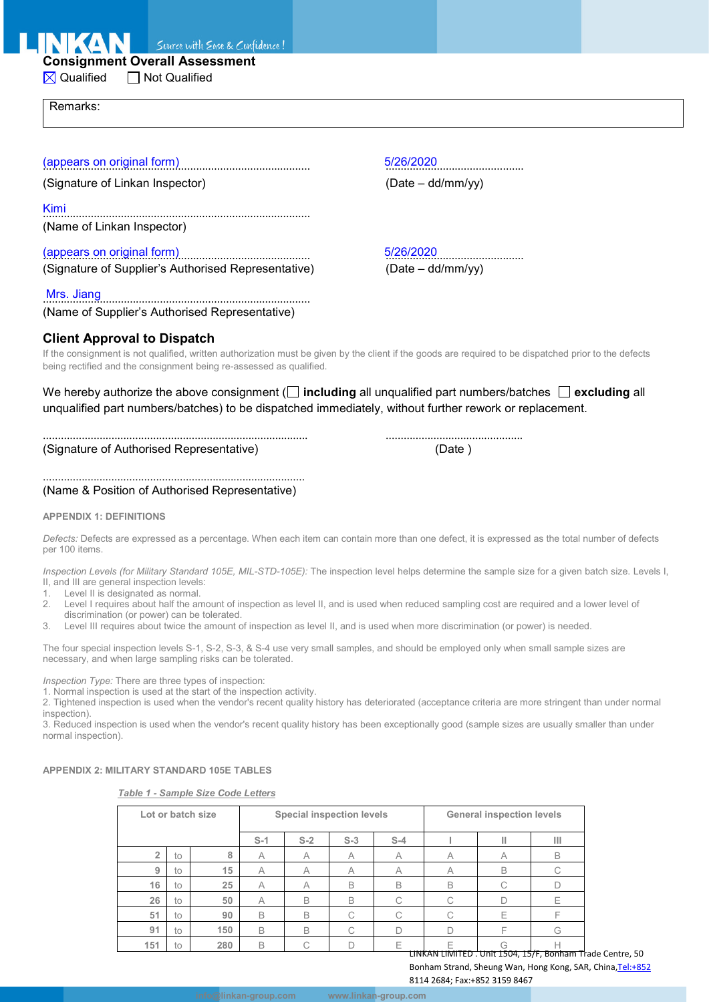Suurce with Ease & Confidence!

# **Consignment Overall Assessment**

 $\boxtimes$  Qualified  $\Box$  Not Qualified

Remarks:

(Signature of Linkan Inspector) (Date – dd/mm/yy)

Kimi .........................................................................................

(Name of Linkan Inspector)

(Signature of Supplier's Authorised Representative)

Mrs. Jiang ......................................................................................... (Name of Supplier's Authorised Representative)

# **Client Approval to Dispatch**

If the consignment is not qualified, written authorization must be given by the client if the goods are required to be dispatched prior to the defects being rectified and the consignment being re-assessed as qualified.

We hereby authorize the above consignment ( $\Box$  including all unqualified part numbers/batches  $\Box$  excluding all unqualified part numbers/batches) to be dispatched immediately, without further rework or replacement.

......................................................................................... .............................................. (Signature of Authorised Representative) (Date )

........................................................................................ (Name & Position of Authorised Representative)

#### **APPENDIX 1: DEFINITIONS**

*Defects:* Defects are expressed as a percentage. When each item can contain more than one defect, it is expressed as the total number of defects per 100 items.

*Inspection Levels (for Military Standard 105E, MIL-STD-105E):* The inspection level helps determine the sample size for a given batch size. Levels I, II, and III are general inspection levels:

1. Level II is designated as normal.<br>2. Level I requires about half the an

Level I requires about half the amount of inspection as level II, and is used when reduced sampling cost are required and a lower level of discrimination (or power) can be tolerated.

3. Level III requires about twice the amount of inspection as level II, and is used when more discrimination (or power) is needed.

The four special inspection levels S-1, S-2, S-3, & S-4 use very small samples, and should be employed only when small sample sizes are necessary, and when large sampling risks can be tolerated.

*Inspection Type:* There are three types of inspection:

1. Normal inspection is used at the start of the inspection activity.

2. Tightened inspection is used when the vendor's recent quality history has deteriorated (acceptance criteria are more stringent than under normal inspection).

3. Reduced inspection is used when the vendor's recent quality history has been exceptionally good (sample sizes are usually smaller than under normal inspection).

#### **APPENDIX 2: MILITARY STANDARD 105E TABLES**

*Table 1 - Sample Size Code Letters*

|     |    | Lot or batch size |       | Special inspection levels |       | <b>General inspection levels</b> |                                                           |              |   |
|-----|----|-------------------|-------|---------------------------|-------|----------------------------------|-----------------------------------------------------------|--------------|---|
|     |    |                   | $S-1$ | $S-2$                     | $S-3$ | $S-4$                            |                                                           |              | Ш |
| 2   | to | 8                 | A     | $\forall$                 | A     | A                                | Α                                                         | $\forall$    | B |
| 9   | to | 15                | A     | A                         | A     | A                                | A                                                         | <sub>B</sub> | С |
| 16  | to | 25                | A     | $\forall$                 | B     | B                                | B                                                         |              |   |
| 26  | to | 50                | A     | B                         | B     | С                                |                                                           |              | Ε |
| 51  | to | 90                | B     | B                         | C     | С                                |                                                           | F            |   |
| 91  | to | 150               | B     | B                         | C     | D                                |                                                           |              | G |
| 151 | to | 280               | B     | ◡                         |       |                                  | F                                                         | G            | н |
|     |    |                   |       |                           |       |                                  | LINKAN LIMITED . Unit 1504, 15/F, Bonham Trade Centre, 50 |              |   |

Bonham Strand, Sheung Wan, Hong Kong, SAR, China, Tel:+852

8114 2684; Fax:+852 3159 8467

(appears on original form) 8/26/2020

(appears on original form)<br>
(Signature of Supplier's Authorised Representative) (Date – dd/mm/yy)